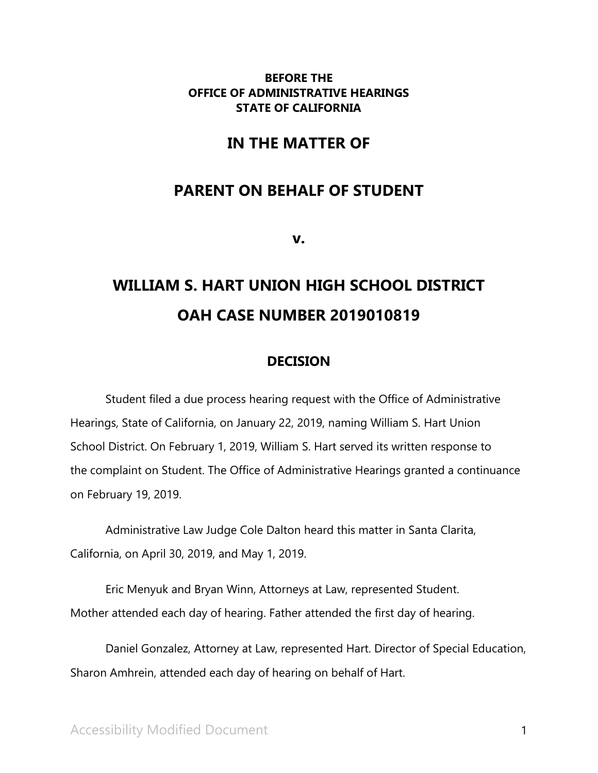## **BEFORE THE OFFICE OF ADMINISTRATIVE HEARINGS STATE OF CALIFORNIA**

## **IN THE MATTER OF**

## **PARENT ON BEHALF OF STUDENT**

**v.**

# **WILLIAM S. HART UNION HIGH SCHOOL DISTRICT OAH CASE NUMBER 2019010819**

## **DECISION**

Student filed a due process hearing request with the Office of Administrative Hearings, State of California, on January 22, 2019, naming William S. Hart Union School District. On February 1, 2019, William S. Hart served its written response to the complaint on Student. The Office of Administrative Hearings granted a continuance on February 19, 2019.

Administrative Law Judge Cole Dalton heard this matter in Santa Clarita, California, on April 30, 2019, and May 1, 2019.

Eric Menyuk and Bryan Winn, Attorneys at Law, represented Student. Mother attended each day of hearing. Father attended the first day of hearing.

Daniel Gonzalez, Attorney at Law, represented Hart. Director of Special Education, Sharon Amhrein, attended each day of hearing on behalf of Hart.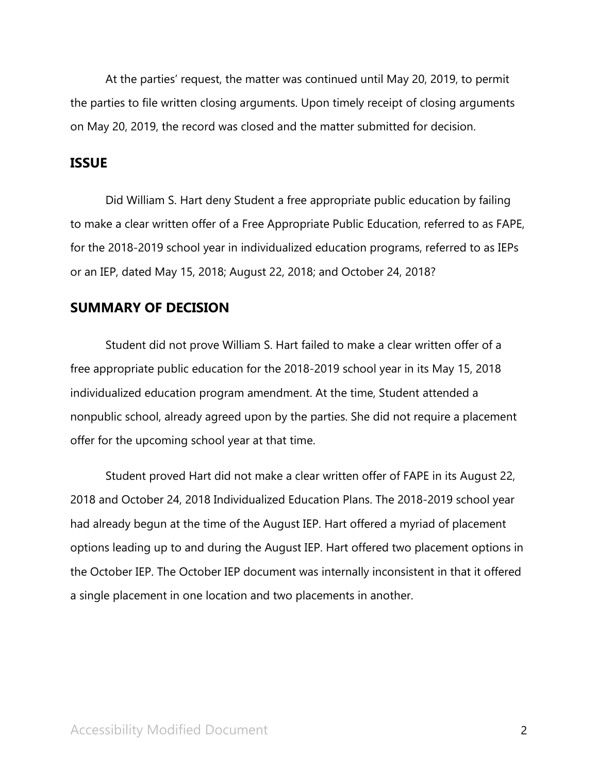At the parties' request, the matter was continued until May 20, 2019, to permit the parties to file written closing arguments. Upon timely receipt of closing arguments on May 20, 2019, the record was closed and the matter submitted for decision.

## **ISSUE**

Did William S. Hart deny Student a free appropriate public education by failing to make a clear written offer of a Free Appropriate Public Education, referred to as FAPE, for the 2018-2019 school year in individualized education programs, referred to as IEPs or an IEP, dated May 15, 2018; August 22, 2018; and October 24, 2018?

## **SUMMARY OF DECISION**

Student did not prove William S. Hart failed to make a clear written offer of a free appropriate public education for the 2018-2019 school year in its May 15, 2018 individualized education program amendment. At the time, Student attended a nonpublic school, already agreed upon by the parties. She did not require a placement offer for the upcoming school year at that time.

Student proved Hart did not make a clear written offer of FAPE in its August 22, 2018 and October 24, 2018 Individualized Education Plans. The 2018-2019 school year had already begun at the time of the August IEP. Hart offered a myriad of placement options leading up to and during the August IEP. Hart offered two placement options in the October IEP. The October IEP document was internally inconsistent in that it offered a single placement in one location and two placements in another.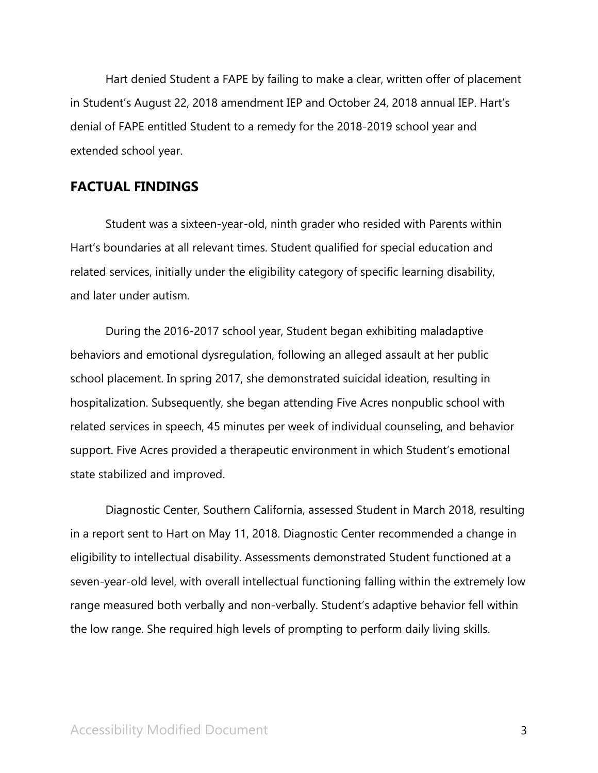Hart denied Student a FAPE by failing to make a clear, written offer of placement in Student's August 22, 2018 amendment IEP and October 24, 2018 annual IEP. Hart's denial of FAPE entitled Student to a remedy for the 2018-2019 school year and extended school year.

## **FACTUAL FINDINGS**

Student was a sixteen-year-old, ninth grader who resided with Parents within Hart's boundaries at all relevant times. Student qualified for special education and related services, initially under the eligibility category of specific learning disability, and later under autism.

During the 2016-2017 school year, Student began exhibiting maladaptive behaviors and emotional dysregulation, following an alleged assault at her public school placement. In spring 2017, she demonstrated suicidal ideation, resulting in hospitalization. Subsequently, she began attending Five Acres nonpublic school with related services in speech, 45 minutes per week of individual counseling, and behavior support. Five Acres provided a therapeutic environment in which Student's emotional state stabilized and improved.

Diagnostic Center, Southern California, assessed Student in March 2018, resulting in a report sent to Hart on May 11, 2018. Diagnostic Center recommended a change in eligibility to intellectual disability. Assessments demonstrated Student functioned at a seven-year-old level, with overall intellectual functioning falling within the extremely low range measured both verbally and non-verbally. Student's adaptive behavior fell within the low range. She required high levels of prompting to perform daily living skills.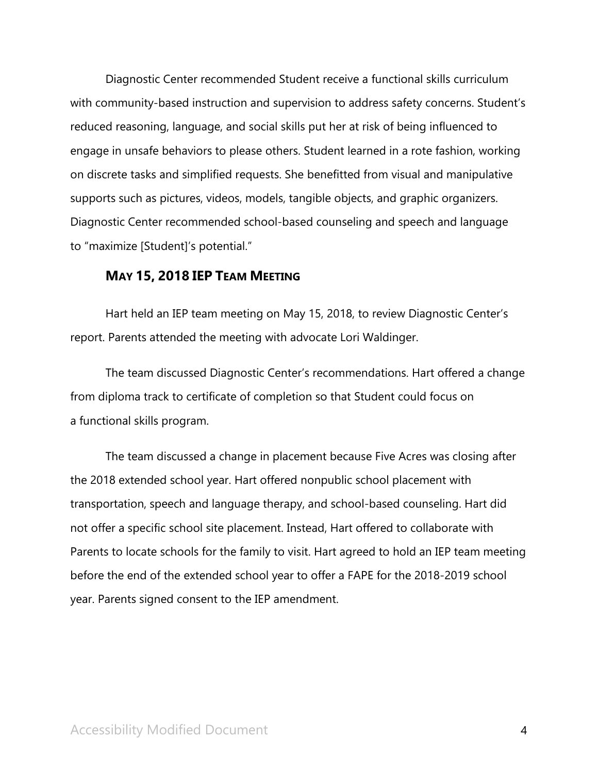Diagnostic Center recommended Student receive a functional skills curriculum with community-based instruction and supervision to address safety concerns. Student's reduced reasoning, language, and social skills put her at risk of being influenced to engage in unsafe behaviors to please others. Student learned in a rote fashion, working on discrete tasks and simplified requests. She benefitted from visual and manipulative supports such as pictures, videos, models, tangible objects, and graphic organizers. Diagnostic Center recommended school-based counseling and speech and language to "maximize [Student]'s potential."

## **MAY 15, 2018 IEP TEAM MEETING**

Hart held an IEP team meeting on May 15, 2018, to review Diagnostic Center's report. Parents attended the meeting with advocate Lori Waldinger.

The team discussed Diagnostic Center's recommendations. Hart offered a change from diploma track to certificate of completion so that Student could focus on a functional skills program.

The team discussed a change in placement because Five Acres was closing after the 2018 extended school year. Hart offered nonpublic school placement with transportation, speech and language therapy, and school-based counseling. Hart did not offer a specific school site placement. Instead, Hart offered to collaborate with Parents to locate schools for the family to visit. Hart agreed to hold an IEP team meeting before the end of the extended school year to offer a FAPE for the 2018-2019 school year. Parents signed consent to the IEP amendment.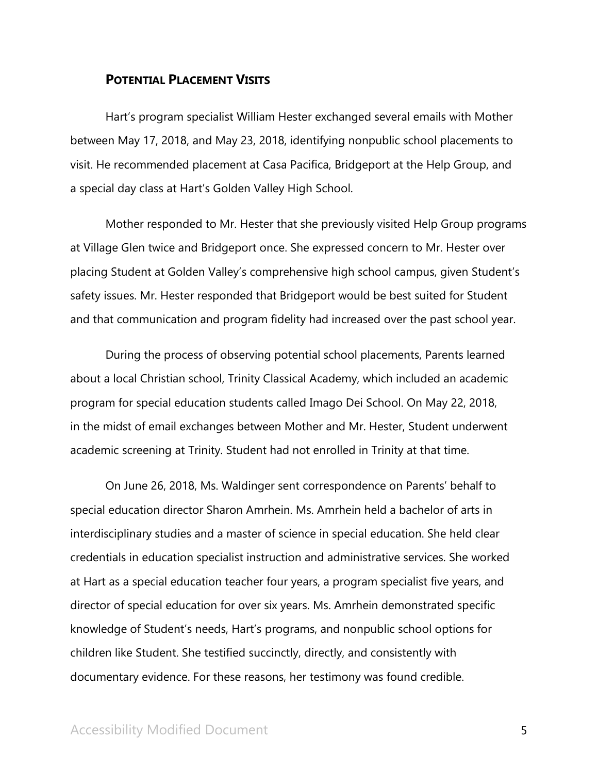### **POTENTIAL PLACEMENT VISITS**

Hart's program specialist William Hester exchanged several emails with Mother between May 17, 2018, and May 23, 2018, identifying nonpublic school placements to visit. He recommended placement at Casa Pacifica, Bridgeport at the Help Group, and a special day class at Hart's Golden Valley High School.

Mother responded to Mr. Hester that she previously visited Help Group programs at Village Glen twice and Bridgeport once. She expressed concern to Mr. Hester over placing Student at Golden Valley's comprehensive high school campus, given Student's safety issues. Mr. Hester responded that Bridgeport would be best suited for Student and that communication and program fidelity had increased over the past school year.

During the process of observing potential school placements, Parents learned about a local Christian school, Trinity Classical Academy, which included an academic program for special education students called Imago Dei School. On May 22, 2018, in the midst of email exchanges between Mother and Mr. Hester, Student underwent academic screening at Trinity. Student had not enrolled in Trinity at that time.

On June 26, 2018, Ms. Waldinger sent correspondence on Parents' behalf to special education director Sharon Amrhein. Ms. Amrhein held a bachelor of arts in interdisciplinary studies and a master of science in special education. She held clear credentials in education specialist instruction and administrative services. She worked at Hart as a special education teacher four years, a program specialist five years, and director of special education for over six years. Ms. Amrhein demonstrated specific knowledge of Student's needs, Hart's programs, and nonpublic school options for children like Student. She testified succinctly, directly, and consistently with documentary evidence. For these reasons, her testimony was found credible.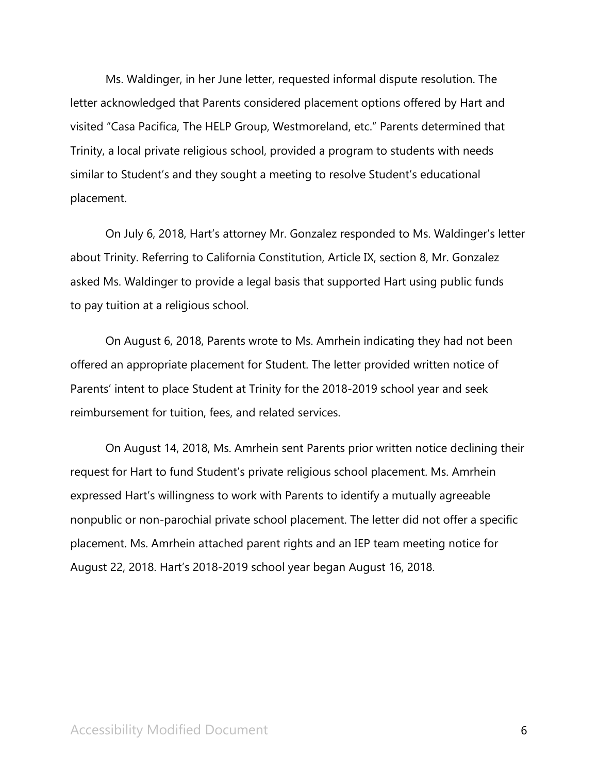Ms. Waldinger, in her June letter, requested informal dispute resolution. The letter acknowledged that Parents considered placement options offered by Hart and visited "Casa Pacifica, The HELP Group, Westmoreland, etc." Parents determined that Trinity, a local private religious school, provided a program to students with needs similar to Student's and they sought a meeting to resolve Student's educational placement.

On July 6, 2018, Hart's attorney Mr. Gonzalez responded to Ms. Waldinger's letter about Trinity. Referring to California Constitution, Article IX, section 8, Mr. Gonzalez asked Ms. Waldinger to provide a legal basis that supported Hart using public funds to pay tuition at a religious school.

On August 6, 2018, Parents wrote to Ms. Amrhein indicating they had not been offered an appropriate placement for Student. The letter provided written notice of Parents' intent to place Student at Trinity for the 2018-2019 school year and seek reimbursement for tuition, fees, and related services.

On August 14, 2018, Ms. Amrhein sent Parents prior written notice declining their request for Hart to fund Student's private religious school placement. Ms. Amrhein expressed Hart's willingness to work with Parents to identify a mutually agreeable nonpublic or non-parochial private school placement. The letter did not offer a specific placement. Ms. Amrhein attached parent rights and an IEP team meeting notice for August 22, 2018. Hart's 2018-2019 school year began August 16, 2018.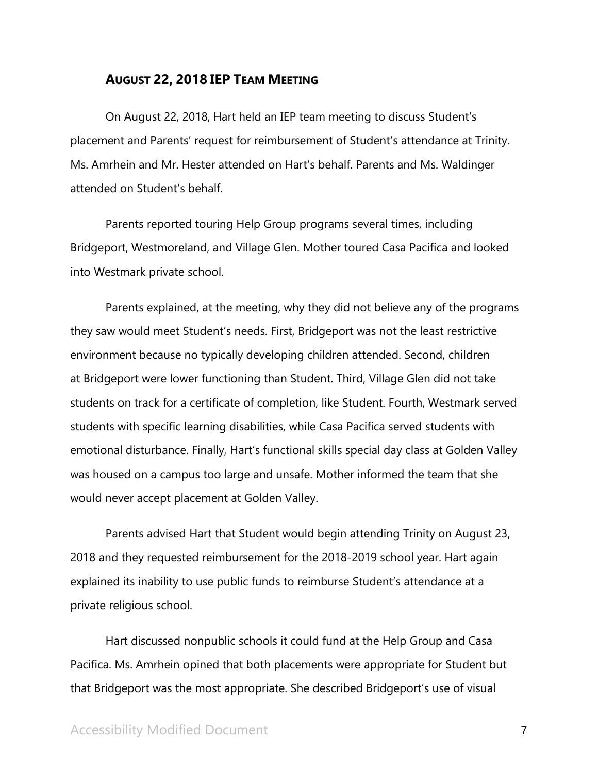## **AUGUST 22, 2018 IEP TEAM MEETING**

On August 22, 2018, Hart held an IEP team meeting to discuss Student's placement and Parents' request for reimbursement of Student's attendance at Trinity. Ms. Amrhein and Mr. Hester attended on Hart's behalf. Parents and Ms. Waldinger attended on Student's behalf.

Parents reported touring Help Group programs several times, including Bridgeport, Westmoreland, and Village Glen. Mother toured Casa Pacifica and looked into Westmark private school.

Parents explained, at the meeting, why they did not believe any of the programs they saw would meet Student's needs. First, Bridgeport was not the least restrictive environment because no typically developing children attended. Second, children at Bridgeport were lower functioning than Student. Third, Village Glen did not take students on track for a certificate of completion, like Student. Fourth, Westmark served students with specific learning disabilities, while Casa Pacifica served students with emotional disturbance. Finally, Hart's functional skills special day class at Golden Valley was housed on a campus too large and unsafe. Mother informed the team that she would never accept placement at Golden Valley.

Parents advised Hart that Student would begin attending Trinity on August 23, 2018 and they requested reimbursement for the 2018-2019 school year. Hart again explained its inability to use public funds to reimburse Student's attendance at a private religious school.

Hart discussed nonpublic schools it could fund at the Help Group and Casa Pacifica. Ms. Amrhein opined that both placements were appropriate for Student but that Bridgeport was the most appropriate. She described Bridgeport's use of visual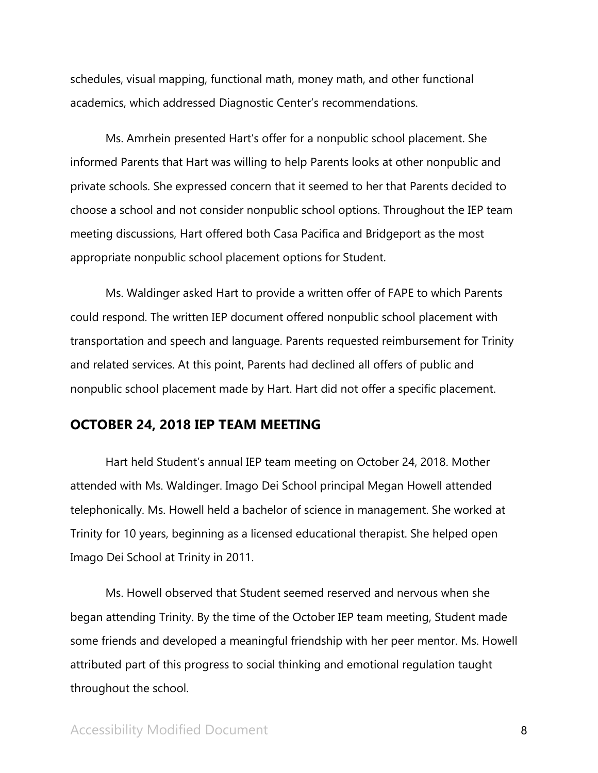schedules, visual mapping, functional math, money math, and other functional academics, which addressed Diagnostic Center's recommendations.

Ms. Amrhein presented Hart's offer for a nonpublic school placement. She informed Parents that Hart was willing to help Parents looks at other nonpublic and private schools. She expressed concern that it seemed to her that Parents decided to choose a school and not consider nonpublic school options. Throughout the IEP team meeting discussions, Hart offered both Casa Pacifica and Bridgeport as the most appropriate nonpublic school placement options for Student.

Ms. Waldinger asked Hart to provide a written offer of FAPE to which Parents could respond. The written IEP document offered nonpublic school placement with transportation and speech and language. Parents requested reimbursement for Trinity and related services. At this point, Parents had declined all offers of public and nonpublic school placement made by Hart. Hart did not offer a specific placement.

## **OCTOBER 24, 2018 IEP TEAM MEETING**

Hart held Student's annual IEP team meeting on October 24, 2018. Mother attended with Ms. Waldinger. Imago Dei School principal Megan Howell attended telephonically. Ms. Howell held a bachelor of science in management. She worked at Trinity for 10 years, beginning as a licensed educational therapist. She helped open Imago Dei School at Trinity in 2011.

Ms. Howell observed that Student seemed reserved and nervous when she began attending Trinity. By the time of the October IEP team meeting, Student made some friends and developed a meaningful friendship with her peer mentor. Ms. Howell attributed part of this progress to social thinking and emotional regulation taught throughout the school.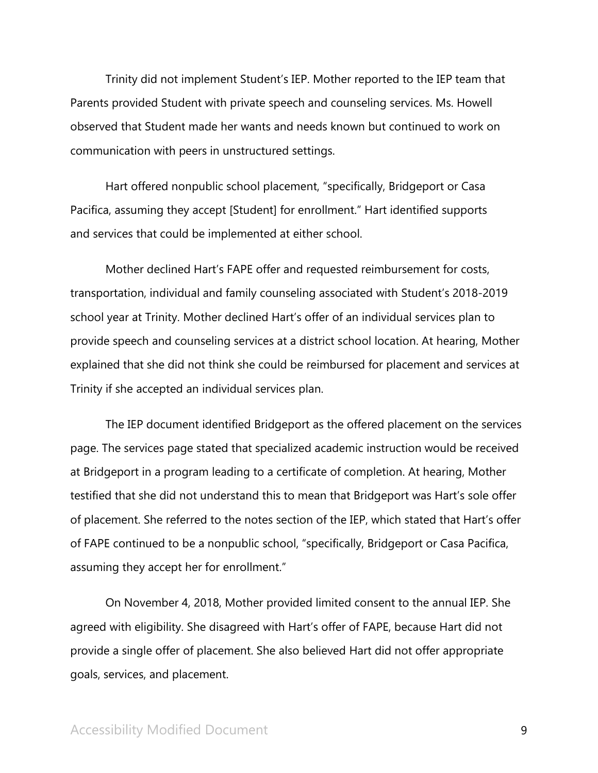Trinity did not implement Student's IEP. Mother reported to the IEP team that Parents provided Student with private speech and counseling services. Ms. Howell observed that Student made her wants and needs known but continued to work on communication with peers in unstructured settings.

Hart offered nonpublic school placement, "specifically, Bridgeport or Casa Pacifica, assuming they accept [Student] for enrollment." Hart identified supports and services that could be implemented at either school.

Mother declined Hart's FAPE offer and requested reimbursement for costs, transportation, individual and family counseling associated with Student's 2018-2019 school year at Trinity. Mother declined Hart's offer of an individual services plan to provide speech and counseling services at a district school location. At hearing, Mother explained that she did not think she could be reimbursed for placement and services at Trinity if she accepted an individual services plan.

The IEP document identified Bridgeport as the offered placement on the services page. The services page stated that specialized academic instruction would be received at Bridgeport in a program leading to a certificate of completion. At hearing, Mother testified that she did not understand this to mean that Bridgeport was Hart's sole offer of placement. She referred to the notes section of the IEP, which stated that Hart's offer of FAPE continued to be a nonpublic school, "specifically, Bridgeport or Casa Pacifica, assuming they accept her for enrollment."

On November 4, 2018, Mother provided limited consent to the annual IEP. She agreed with eligibility. She disagreed with Hart's offer of FAPE, because Hart did not provide a single offer of placement. She also believed Hart did not offer appropriate goals, services, and placement.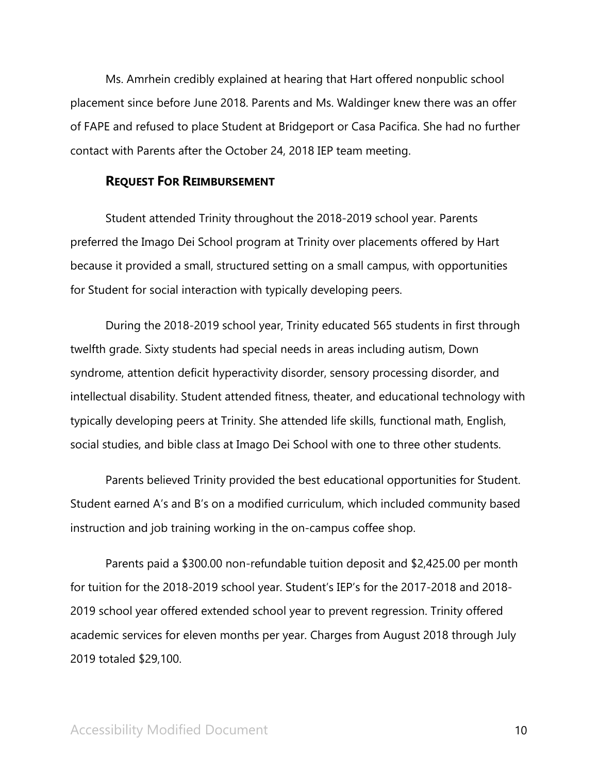Ms. Amrhein credibly explained at hearing that Hart offered nonpublic school placement since before June 2018. Parents and Ms. Waldinger knew there was an offer of FAPE and refused to place Student at Bridgeport or Casa Pacifica. She had no further contact with Parents after the October 24, 2018 IEP team meeting.

#### **REQUEST FOR REIMBURSEMENT**

Student attended Trinity throughout the 2018-2019 school year. Parents preferred the Imago Dei School program at Trinity over placements offered by Hart because it provided a small, structured setting on a small campus, with opportunities for Student for social interaction with typically developing peers.

During the 2018-2019 school year, Trinity educated 565 students in first through twelfth grade. Sixty students had special needs in areas including autism, Down syndrome, attention deficit hyperactivity disorder, sensory processing disorder, and intellectual disability. Student attended fitness, theater, and educational technology with typically developing peers at Trinity. She attended life skills, functional math, English, social studies, and bible class at Imago Dei School with one to three other students.

Parents believed Trinity provided the best educational opportunities for Student. Student earned A's and B's on a modified curriculum, which included community based instruction and job training working in the on-campus coffee shop.

Parents paid a \$300.00 non-refundable tuition deposit and \$2,425.00 per month for tuition for the 2018-2019 school year. Student's IEP's for the 2017-2018 and 2018- 2019 school year offered extended school year to prevent regression. Trinity offered academic services for eleven months per year. Charges from August 2018 through July 2019 totaled \$29,100.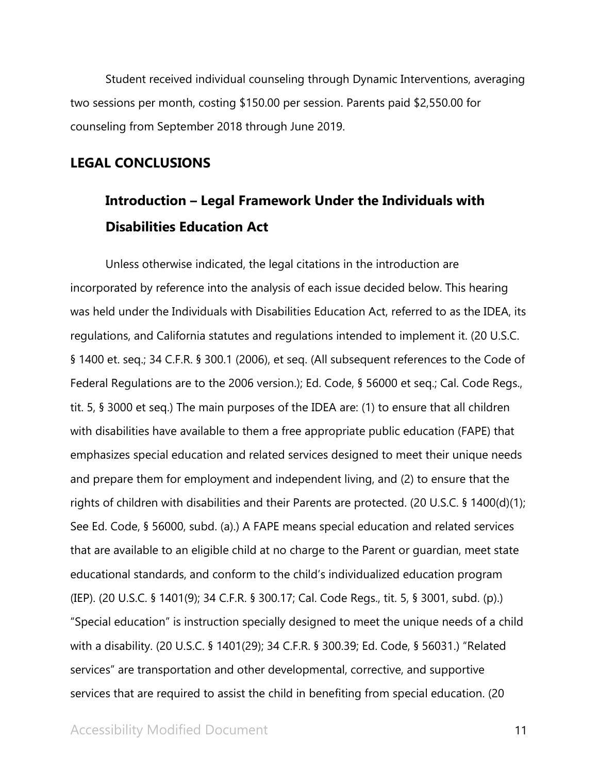Student received individual counseling through Dynamic Interventions, averaging two sessions per month, costing \$150.00 per session. Parents paid \$2,550.00 for counseling from September 2018 through June 2019.

## **LEGAL CONCLUSIONS**

# **Introduction – Legal Framework Under the Individuals with Disabilities Education Act**

Unless otherwise indicated, the legal citations in the introduction are incorporated by reference into the analysis of each issue decided below. This hearing was held under the Individuals with Disabilities Education Act, referred to as the IDEA, its regulations, and California statutes and regulations intended to implement it. (20 U.S.C. § 1400 et. seq.; 34 C.F.R. § 300.1 (2006), et seq. (All subsequent references to the Code of Federal Regulations are to the 2006 version.); Ed. Code, § 56000 et seq.; Cal. Code Regs., tit. 5, § 3000 et seq.) The main purposes of the IDEA are: (1) to ensure that all children with disabilities have available to them a free appropriate public education (FAPE) that emphasizes special education and related services designed to meet their unique needs and prepare them for employment and independent living, and (2) to ensure that the rights of children with disabilities and their Parents are protected. (20 U.S.C. § 1400(d)(1); See Ed. Code, § 56000, subd. (a).) A FAPE means special education and related services that are available to an eligible child at no charge to the Parent or guardian, meet state educational standards, and conform to the child's individualized education program (IEP). (20 U.S.C. § 1401(9); 34 C.F.R. § 300.17; Cal. Code Regs., tit. 5, § 3001, subd. (p).) "Special education" is instruction specially designed to meet the unique needs of a child with a disability. (20 U.S.C. § 1401(29); 34 C.F.R. § 300.39; Ed. Code, § 56031.) "Related services" are transportation and other developmental, corrective, and supportive services that are required to assist the child in benefiting from special education. (20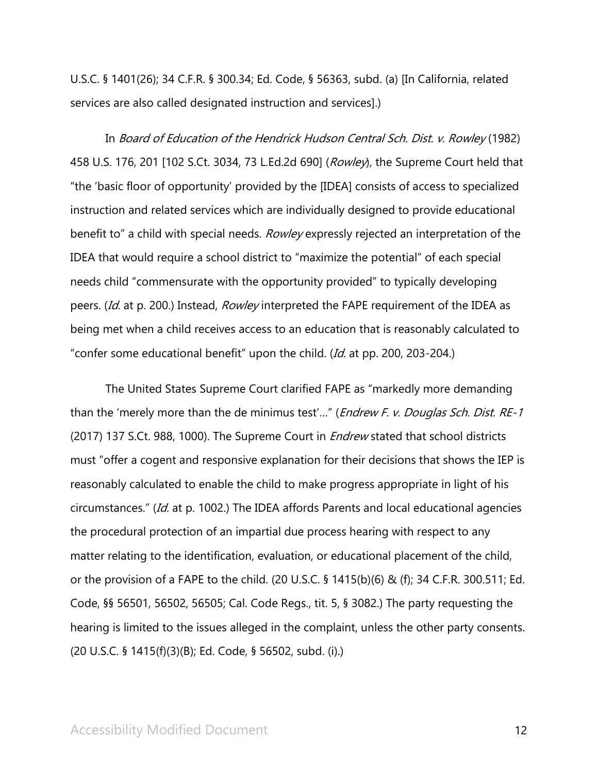U.S.C. § 1401(26); 34 C.F.R. § 300.34; Ed. Code, § 56363, subd. (a) [In California, related services are also called designated instruction and services].)

In Board of Education of the Hendrick Hudson Central Sch. Dist. v. Rowley (1982) 458 U.S. 176, 201 [102 S.Ct. 3034, 73 L.Ed.2d 690] (Rowley), the Supreme Court held that "the 'basic floor of opportunity' provided by the [IDEA] consists of access to specialized instruction and related services which are individually designed to provide educational benefit to" a child with special needs. Rowley expressly rejected an interpretation of the IDEA that would require a school district to "maximize the potential" of each special needs child "commensurate with the opportunity provided" to typically developing peers. (Id. at p. 200.) Instead, Rowley interpreted the FAPE requirement of the IDEA as being met when a child receives access to an education that is reasonably calculated to "confer some educational benefit" upon the child. (Id. at pp. 200, 203-204.)

The United States Supreme Court clarified FAPE as "markedly more demanding than the 'merely more than the de minimus test'..." (*Endrew F. v. Douglas Sch. Dist. RE-1* (2017) 137 S.Ct. 988, 1000). The Supreme Court in *Endrew* stated that school districts must "offer a cogent and responsive explanation for their decisions that shows the IEP is reasonably calculated to enable the child to make progress appropriate in light of his circumstances." (Id. at p. 1002.) The IDEA affords Parents and local educational agencies the procedural protection of an impartial due process hearing with respect to any matter relating to the identification, evaluation, or educational placement of the child, or the provision of a FAPE to the child. (20 U.S.C. § 1415(b)(6) & (f); 34 C.F.R. 300.511; Ed. Code, §§ 56501, 56502, 56505; Cal. Code Regs., tit. 5, § 3082.) The party requesting the hearing is limited to the issues alleged in the complaint, unless the other party consents. (20 U.S.C. § 1415(f)(3)(B); Ed. Code, § 56502, subd. (i).)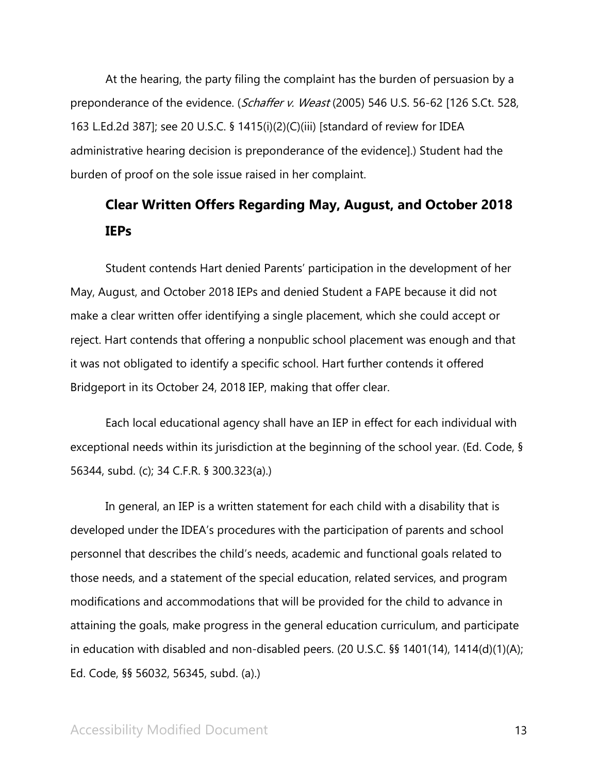At the hearing, the party filing the complaint has the burden of persuasion by a preponderance of the evidence. (Schaffer v. Weast (2005) 546 U.S. 56-62 [126 S.Ct. 528, 163 L.Ed.2d 387]; see 20 U.S.C. § 1415(i)(2)(C)(iii) [standard of review for IDEA administrative hearing decision is preponderance of the evidence].) Student had the burden of proof on the sole issue raised in her complaint.

# **Clear Written Offers Regarding May, August, and October 2018 IEPs**

Student contends Hart denied Parents' participation in the development of her May, August, and October 2018 IEPs and denied Student a FAPE because it did not make a clear written offer identifying a single placement, which she could accept or reject. Hart contends that offering a nonpublic school placement was enough and that it was not obligated to identify a specific school. Hart further contends it offered Bridgeport in its October 24, 2018 IEP, making that offer clear.

Each local educational agency shall have an IEP in effect for each individual with exceptional needs within its jurisdiction at the beginning of the school year. (Ed. Code, § 56344, subd. (c); 34 C.F.R. § 300.323(a).)

In general, an IEP is a written statement for each child with a disability that is developed under the IDEA's procedures with the participation of parents and school personnel that describes the child's needs, academic and functional goals related to those needs, and a statement of the special education, related services, and program modifications and accommodations that will be provided for the child to advance in attaining the goals, make progress in the general education curriculum, and participate in education with disabled and non-disabled peers. (20 U.S.C. §§ 1401(14), 1414(d)(1)(A); Ed. Code, §§ 56032, 56345, subd. (a).)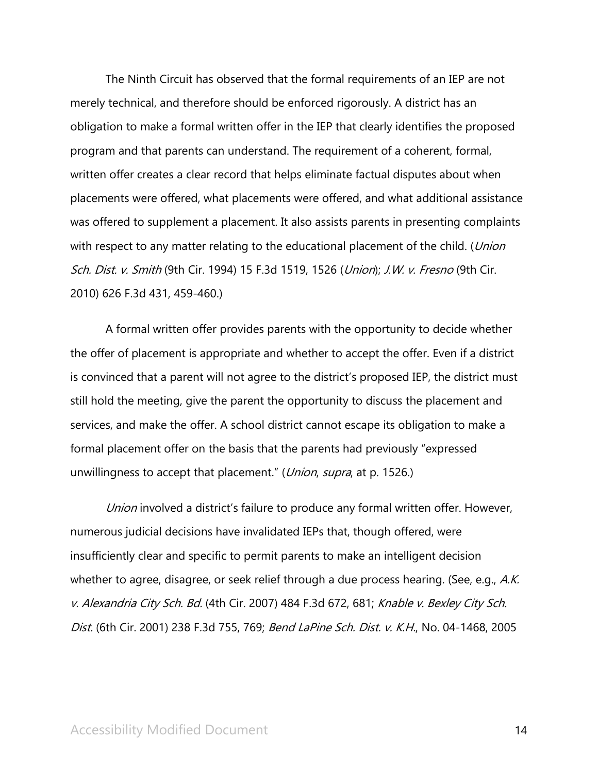The Ninth Circuit has observed that the formal requirements of an IEP are not merely technical, and therefore should be enforced rigorously. A district has an obligation to make a formal written offer in the IEP that clearly identifies the proposed program and that parents can understand. The requirement of a coherent, formal, written offer creates a clear record that helps eliminate factual disputes about when placements were offered, what placements were offered, and what additional assistance was offered to supplement a placement. It also assists parents in presenting complaints with respect to any matter relating to the educational placement of the child. (*Union* Sch. Dist. v. Smith (9th Cir. 1994) 15 F.3d 1519, 1526 (Union); J.W. v. Fresno (9th Cir. 2010) 626 F.3d 431, 459-460.)

A formal written offer provides parents with the opportunity to decide whether the offer of placement is appropriate and whether to accept the offer. Even if a district is convinced that a parent will not agree to the district's proposed IEP, the district must still hold the meeting, give the parent the opportunity to discuss the placement and services, and make the offer. A school district cannot escape its obligation to make a formal placement offer on the basis that the parents had previously "expressed unwillingness to accept that placement." (Union, supra, at p. 1526.)

Union involved a district's failure to produce any formal written offer. However, numerous judicial decisions have invalidated IEPs that, though offered, were insufficiently clear and specific to permit parents to make an intelligent decision whether to agree, disagree, or seek relief through a due process hearing. (See, e.g., A.K. v. Alexandria City Sch. Bd. (4th Cir. 2007) 484 F.3d 672, 681; Knable v. Bexley City Sch. Dist. (6th Cir. 2001) 238 F.3d 755, 769; Bend LaPine Sch. Dist. v. K.H., No. 04-1468, 2005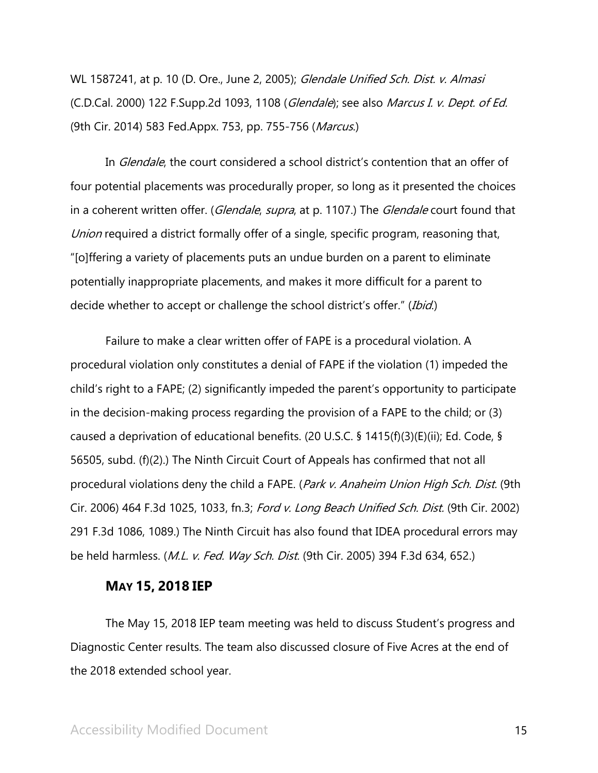WL 1587241, at p. 10 (D. Ore., June 2, 2005); Glendale Unified Sch. Dist. v. Almasi (C.D.Cal. 2000) 122 F.Supp.2d 1093, 1108 (Glendale); see also Marcus I. v. Dept. of Ed. (9th Cir. 2014) 583 Fed.Appx. 753, pp. 755-756 (*Marcus*.)

In *Glendale*, the court considered a school district's contention that an offer of four potential placements was procedurally proper, so long as it presented the choices in a coherent written offer. (Glendale, supra, at p. 1107.) The Glendale court found that Union required a district formally offer of a single, specific program, reasoning that, "[o]ffering a variety of placements puts an undue burden on a parent to eliminate potentially inappropriate placements, and makes it more difficult for a parent to decide whether to accept or challenge the school district's offer." (Ibid.)

Failure to make a clear written offer of FAPE is a procedural violation. A procedural violation only constitutes a denial of FAPE if the violation (1) impeded the child's right to a FAPE; (2) significantly impeded the parent's opportunity to participate in the decision-making process regarding the provision of a FAPE to the child; or (3) caused a deprivation of educational benefits. (20 U.S.C. § 1415(f)(3)(E)(ii); Ed. Code, § 56505, subd. (f)(2).) The Ninth Circuit Court of Appeals has confirmed that not all procedural violations deny the child a FAPE. (Park v. Anaheim Union High Sch. Dist. (9th Cir. 2006) 464 F.3d 1025, 1033, fn.3; Ford v. Long Beach Unified Sch. Dist. (9th Cir. 2002) 291 F.3d 1086, 1089.) The Ninth Circuit has also found that IDEA procedural errors may be held harmless. (*M.L. v. Fed. Way Sch. Dist.* (9th Cir. 2005) 394 F.3d 634, 652.)

#### **MAY 15, 2018 IEP**

The May 15, 2018 IEP team meeting was held to discuss Student's progress and Diagnostic Center results. The team also discussed closure of Five Acres at the end of the 2018 extended school year.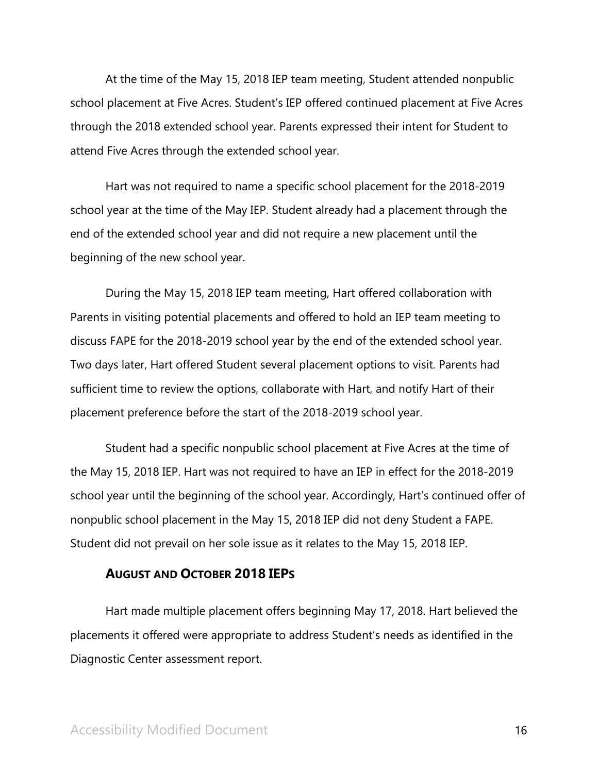At the time of the May 15, 2018 IEP team meeting, Student attended nonpublic school placement at Five Acres. Student's IEP offered continued placement at Five Acres through the 2018 extended school year. Parents expressed their intent for Student to attend Five Acres through the extended school year.

Hart was not required to name a specific school placement for the 2018-2019 school year at the time of the May IEP. Student already had a placement through the end of the extended school year and did not require a new placement until the beginning of the new school year.

During the May 15, 2018 IEP team meeting, Hart offered collaboration with Parents in visiting potential placements and offered to hold an IEP team meeting to discuss FAPE for the 2018-2019 school year by the end of the extended school year. Two days later, Hart offered Student several placement options to visit. Parents had sufficient time to review the options, collaborate with Hart, and notify Hart of their placement preference before the start of the 2018-2019 school year.

Student had a specific nonpublic school placement at Five Acres at the time of the May 15, 2018 IEP. Hart was not required to have an IEP in effect for the 2018-2019 school year until the beginning of the school year. Accordingly, Hart's continued offer of nonpublic school placement in the May 15, 2018 IEP did not deny Student a FAPE. Student did not prevail on her sole issue as it relates to the May 15, 2018 IEP.

#### **AUGUST AND OCTOBER 2018 IEPS**

Hart made multiple placement offers beginning May 17, 2018. Hart believed the placements it offered were appropriate to address Student's needs as identified in the Diagnostic Center assessment report.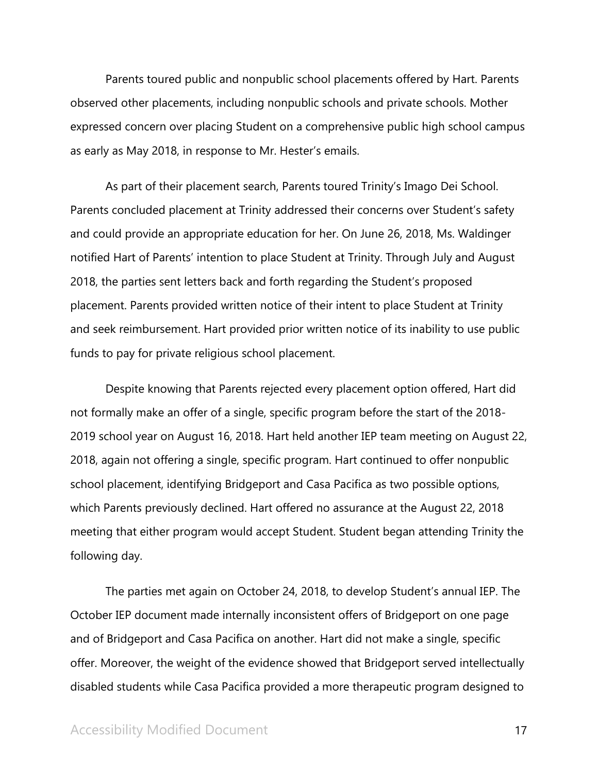Parents toured public and nonpublic school placements offered by Hart. Parents observed other placements, including nonpublic schools and private schools. Mother expressed concern over placing Student on a comprehensive public high school campus as early as May 2018, in response to Mr. Hester's emails.

As part of their placement search, Parents toured Trinity's Imago Dei School. Parents concluded placement at Trinity addressed their concerns over Student's safety and could provide an appropriate education for her. On June 26, 2018, Ms. Waldinger notified Hart of Parents' intention to place Student at Trinity. Through July and August 2018, the parties sent letters back and forth regarding the Student's proposed placement. Parents provided written notice of their intent to place Student at Trinity and seek reimbursement. Hart provided prior written notice of its inability to use public funds to pay for private religious school placement.

Despite knowing that Parents rejected every placement option offered, Hart did not formally make an offer of a single, specific program before the start of the 2018- 2019 school year on August 16, 2018. Hart held another IEP team meeting on August 22, 2018, again not offering a single, specific program. Hart continued to offer nonpublic school placement, identifying Bridgeport and Casa Pacifica as two possible options, which Parents previously declined. Hart offered no assurance at the August 22, 2018 meeting that either program would accept Student. Student began attending Trinity the following day.

The parties met again on October 24, 2018, to develop Student's annual IEP. The October IEP document made internally inconsistent offers of Bridgeport on one page and of Bridgeport and Casa Pacifica on another. Hart did not make a single, specific offer. Moreover, the weight of the evidence showed that Bridgeport served intellectually disabled students while Casa Pacifica provided a more therapeutic program designed to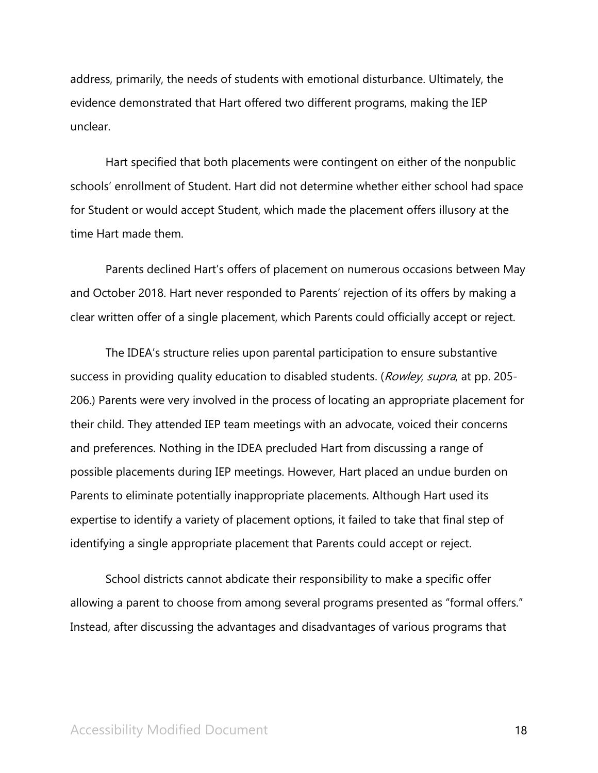address, primarily, the needs of students with emotional disturbance. Ultimately, the evidence demonstrated that Hart offered two different programs, making the IEP unclear.

Hart specified that both placements were contingent on either of the nonpublic schools' enrollment of Student. Hart did not determine whether either school had space for Student or would accept Student, which made the placement offers illusory at the time Hart made them.

Parents declined Hart's offers of placement on numerous occasions between May and October 2018. Hart never responded to Parents' rejection of its offers by making a clear written offer of a single placement, which Parents could officially accept or reject.

The IDEA's structure relies upon parental participation to ensure substantive success in providing quality education to disabled students. (Rowley, supra, at pp. 205-206.) Parents were very involved in the process of locating an appropriate placement for their child. They attended IEP team meetings with an advocate, voiced their concerns and preferences. Nothing in the IDEA precluded Hart from discussing a range of possible placements during IEP meetings. However, Hart placed an undue burden on Parents to eliminate potentially inappropriate placements. Although Hart used its expertise to identify a variety of placement options, it failed to take that final step of identifying a single appropriate placement that Parents could accept or reject.

School districts cannot abdicate their responsibility to make a specific offer allowing a parent to choose from among several programs presented as "formal offers." Instead, after discussing the advantages and disadvantages of various programs that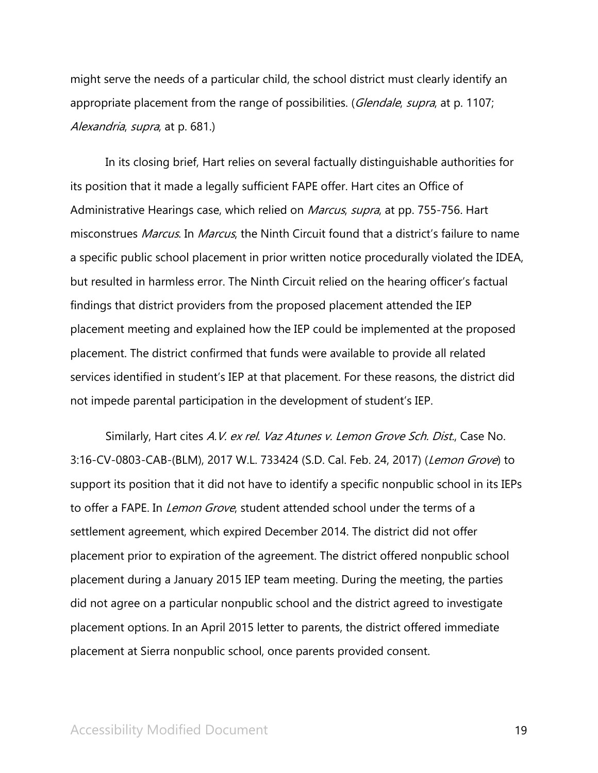might serve the needs of a particular child, the school district must clearly identify an appropriate placement from the range of possibilities. (*Glendale, supra*, at p. 1107; Alexandria, supra, at p. 681.)

In its closing brief, Hart relies on several factually distinguishable authorities for its position that it made a legally sufficient FAPE offer. Hart cites an Office of Administrative Hearings case, which relied on Marcus, supra, at pp. 755-756. Hart misconstrues *Marcus*. In *Marcus*, the Ninth Circuit found that a district's failure to name a specific public school placement in prior written notice procedurally violated the IDEA, but resulted in harmless error. The Ninth Circuit relied on the hearing officer's factual findings that district providers from the proposed placement attended the IEP placement meeting and explained how the IEP could be implemented at the proposed placement. The district confirmed that funds were available to provide all related services identified in student's IEP at that placement. For these reasons, the district did not impede parental participation in the development of student's IEP.

Similarly, Hart cites A.V. ex rel. Vaz Atunes v. Lemon Grove Sch. Dist., Case No. 3:16-CV-0803-CAB-(BLM), 2017 W.L. 733424 (S.D. Cal. Feb. 24, 2017) (Lemon Grove) to support its position that it did not have to identify a specific nonpublic school in its IEPs to offer a FAPE. In *Lemon Grove*, student attended school under the terms of a settlement agreement, which expired December 2014. The district did not offer placement prior to expiration of the agreement. The district offered nonpublic school placement during a January 2015 IEP team meeting. During the meeting, the parties did not agree on a particular nonpublic school and the district agreed to investigate placement options. In an April 2015 letter to parents, the district offered immediate placement at Sierra nonpublic school, once parents provided consent.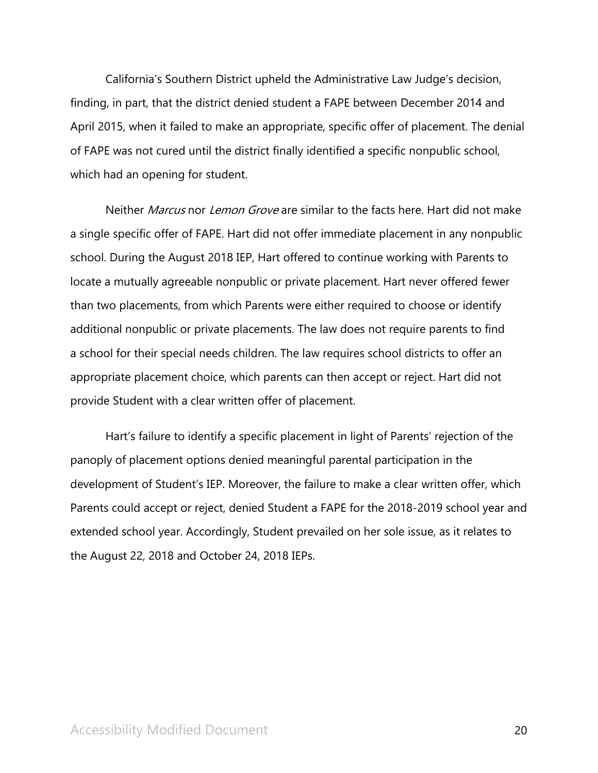California's Southern District upheld the Administrative Law Judge's decision, finding, in part, that the district denied student a FAPE between December 2014 and April 2015, when it failed to make an appropriate, specific offer of placement. The denial of FAPE was not cured until the district finally identified a specific nonpublic school, which had an opening for student.

Neither *Marcus* nor *Lemon Grove* are similar to the facts here. Hart did not make a single specific offer of FAPE. Hart did not offer immediate placement in any nonpublic school. During the August 2018 IEP, Hart offered to continue working with Parents to locate a mutually agreeable nonpublic or private placement. Hart never offered fewer than two placements, from which Parents were either required to choose or identify additional nonpublic or private placements. The law does not require parents to find a school for their special needs children. The law requires school districts to offer an appropriate placement choice, which parents can then accept or reject. Hart did not provide Student with a clear written offer of placement.

Hart's failure to identify a specific placement in light of Parents' rejection of the panoply of placement options denied meaningful parental participation in the development of Student's IEP. Moreover, the failure to make a clear written offer, which Parents could accept or reject, denied Student a FAPE for the 2018-2019 school year and extended school year. Accordingly, Student prevailed on her sole issue, as it relates to the August 22, 2018 and October 24, 2018 IEPs.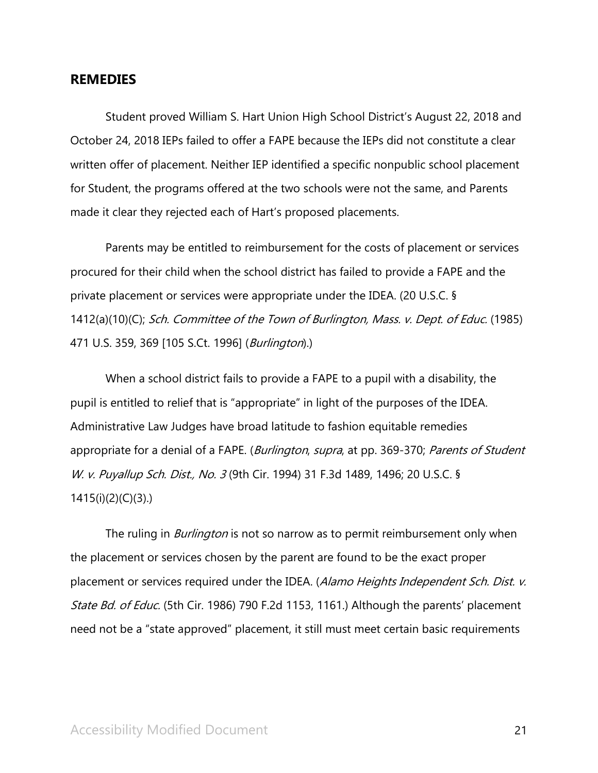## **REMEDIES**

Student proved William S. Hart Union High School District's August 22, 2018 and October 24, 2018 IEPs failed to offer a FAPE because the IEPs did not constitute a clear written offer of placement. Neither IEP identified a specific nonpublic school placement for Student, the programs offered at the two schools were not the same, and Parents made it clear they rejected each of Hart's proposed placements.

Parents may be entitled to reimbursement for the costs of placement or services procured for their child when the school district has failed to provide a FAPE and the private placement or services were appropriate under the IDEA. (20 U.S.C. § 1412(a)(10)(C); Sch. Committee of the Town of Burlington, Mass. v. Dept. of Educ. (1985) 471 U.S. 359, 369 [105 S.Ct. 1996] (*Burlington*).)

When a school district fails to provide a FAPE to a pupil with a disability, the pupil is entitled to relief that is "appropriate" in light of the purposes of the IDEA. Administrative Law Judges have broad latitude to fashion equitable remedies appropriate for a denial of a FAPE. (Burlington, supra, at pp. 369-370; Parents of Student W. v. Puyallup Sch. Dist., No. 3 (9th Cir. 1994) 31 F.3d 1489, 1496; 20 U.S.C. § 1415(i)(2)(C)(3).)

The ruling in *Burlington* is not so narrow as to permit reimbursement only when the placement or services chosen by the parent are found to be the exact proper placement or services required under the IDEA. (Alamo Heights Independent Sch. Dist. v. State Bd. of Educ. (5th Cir. 1986) 790 F.2d 1153, 1161.) Although the parents' placement need not be a "state approved" placement, it still must meet certain basic requirements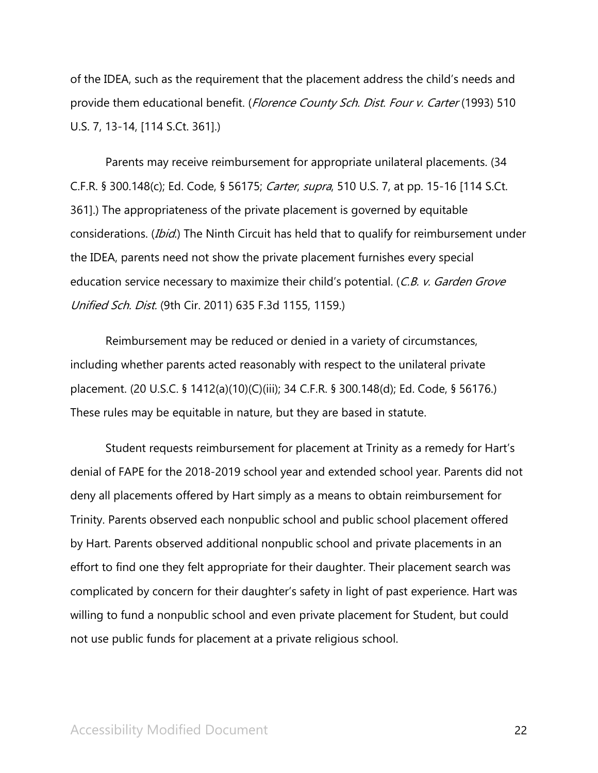of the IDEA, such as the requirement that the placement address the child's needs and provide them educational benefit. (Florence County Sch. Dist. Four v. Carter (1993) 510 U.S. 7, 13-14, [114 S.Ct. 361].)

Parents may receive reimbursement for appropriate unilateral placements. (34 C.F.R. § 300.148(c); Ed. Code, § 56175; Carter, supra, 510 U.S. 7, at pp. 15-16 [114 S.Ct. 361].) The appropriateness of the private placement is governed by equitable considerations. (*Ibid*.) The Ninth Circuit has held that to qualify for reimbursement under the IDEA, parents need not show the private placement furnishes every special education service necessary to maximize their child's potential. (C.B. v. Garden Grove Unified Sch. Dist. (9th Cir. 2011) 635 F.3d 1155, 1159.)

Reimbursement may be reduced or denied in a variety of circumstances, including whether parents acted reasonably with respect to the unilateral private placement. (20 U.S.C. § 1412(a)(10)(C)(iii); 34 C.F.R. § 300.148(d); Ed. Code, § 56176.) These rules may be equitable in nature, but they are based in statute.

Student requests reimbursement for placement at Trinity as a remedy for Hart's denial of FAPE for the 2018-2019 school year and extended school year. Parents did not deny all placements offered by Hart simply as a means to obtain reimbursement for Trinity. Parents observed each nonpublic school and public school placement offered by Hart. Parents observed additional nonpublic school and private placements in an effort to find one they felt appropriate for their daughter. Their placement search was complicated by concern for their daughter's safety in light of past experience. Hart was willing to fund a nonpublic school and even private placement for Student, but could not use public funds for placement at a private religious school.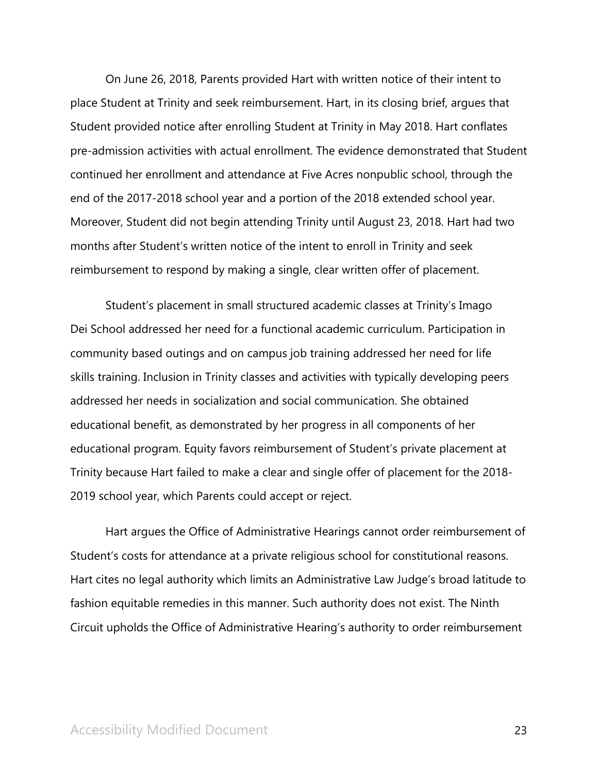On June 26, 2018, Parents provided Hart with written notice of their intent to place Student at Trinity and seek reimbursement. Hart, in its closing brief, argues that Student provided notice after enrolling Student at Trinity in May 2018. Hart conflates pre-admission activities with actual enrollment. The evidence demonstrated that Student continued her enrollment and attendance at Five Acres nonpublic school, through the end of the 2017-2018 school year and a portion of the 2018 extended school year. Moreover, Student did not begin attending Trinity until August 23, 2018. Hart had two months after Student's written notice of the intent to enroll in Trinity and seek reimbursement to respond by making a single, clear written offer of placement.

Student's placement in small structured academic classes at Trinity's Imago Dei School addressed her need for a functional academic curriculum. Participation in community based outings and on campus job training addressed her need for life skills training. Inclusion in Trinity classes and activities with typically developing peers addressed her needs in socialization and social communication. She obtained educational benefit, as demonstrated by her progress in all components of her educational program. Equity favors reimbursement of Student's private placement at Trinity because Hart failed to make a clear and single offer of placement for the 2018- 2019 school year, which Parents could accept or reject.

Hart argues the Office of Administrative Hearings cannot order reimbursement of Student's costs for attendance at a private religious school for constitutional reasons. Hart cites no legal authority which limits an Administrative Law Judge's broad latitude to fashion equitable remedies in this manner. Such authority does not exist. The Ninth Circuit upholds the Office of Administrative Hearing's authority to order reimbursement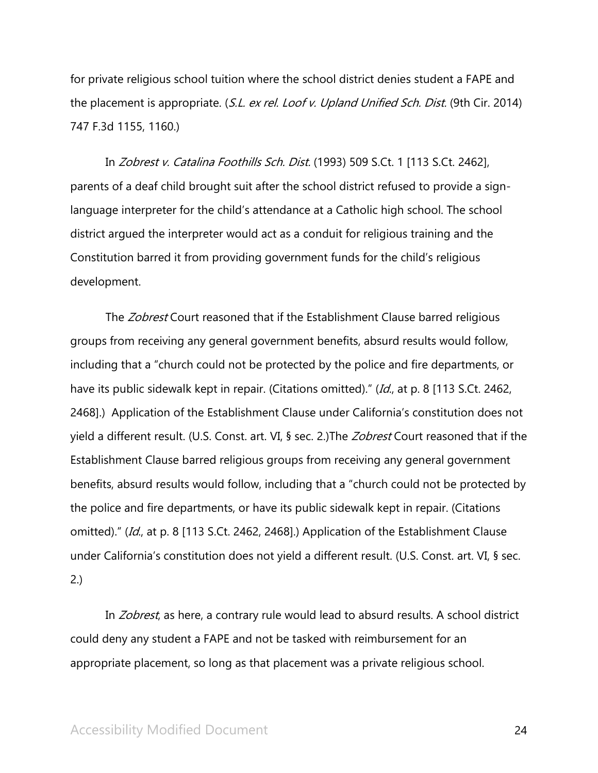for private religious school tuition where the school district denies student a FAPE and the placement is appropriate. (S.L. ex rel. Loof v. Upland Unified Sch. Dist. (9th Cir. 2014) 747 F.3d 1155, 1160.)

In Zobrest v. Catalina Foothills Sch. Dist. (1993) 509 S.Ct. 1 [113 S.Ct. 2462], parents of a deaf child brought suit after the school district refused to provide a signlanguage interpreter for the child's attendance at a Catholic high school. The school district argued the interpreter would act as a conduit for religious training and the Constitution barred it from providing government funds for the child's religious development.

The Zobrest Court reasoned that if the Establishment Clause barred religious groups from receiving any general government benefits, absurd results would follow, including that a "church could not be protected by the police and fire departments, or have its public sidewalk kept in repair. (Citations omitted)." (Id., at p. 8 [113 S.Ct. 2462, 2468].) Application of the Establishment Clause under California's constitution does not yield a different result. (U.S. Const. art. VI, § sec. 2.) The *Zobrest* Court reasoned that if the Establishment Clause barred religious groups from receiving any general government benefits, absurd results would follow, including that a "church could not be protected by the police and fire departments, or have its public sidewalk kept in repair. (Citations omitted)." (Id., at p. 8 [113 S.Ct. 2462, 2468].) Application of the Establishment Clause under California's constitution does not yield a different result. (U.S. Const. art. VI, § sec. 2.)

In *Zobrest*, as here, a contrary rule would lead to absurd results. A school district could deny any student a FAPE and not be tasked with reimbursement for an appropriate placement, so long as that placement was a private religious school.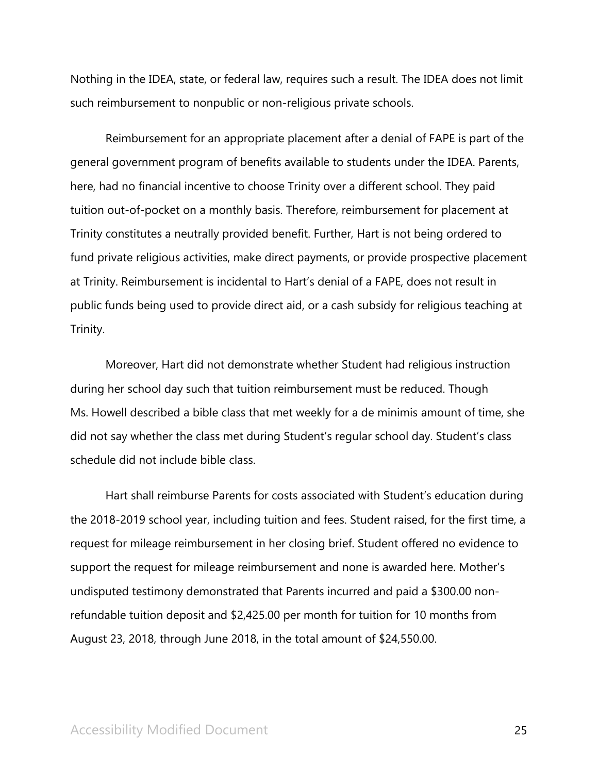Nothing in the IDEA, state, or federal law, requires such a result. The IDEA does not limit such reimbursement to nonpublic or non-religious private schools.

Reimbursement for an appropriate placement after a denial of FAPE is part of the general government program of benefits available to students under the IDEA. Parents, here, had no financial incentive to choose Trinity over a different school. They paid tuition out-of-pocket on a monthly basis. Therefore, reimbursement for placement at Trinity constitutes a neutrally provided benefit. Further, Hart is not being ordered to fund private religious activities, make direct payments, or provide prospective placement at Trinity. Reimbursement is incidental to Hart's denial of a FAPE, does not result in public funds being used to provide direct aid, or a cash subsidy for religious teaching at Trinity.

Moreover, Hart did not demonstrate whether Student had religious instruction during her school day such that tuition reimbursement must be reduced. Though Ms. Howell described a bible class that met weekly for a de minimis amount of time, she did not say whether the class met during Student's regular school day. Student's class schedule did not include bible class.

Hart shall reimburse Parents for costs associated with Student's education during the 2018-2019 school year, including tuition and fees. Student raised, for the first time, a request for mileage reimbursement in her closing brief. Student offered no evidence to support the request for mileage reimbursement and none is awarded here. Mother's undisputed testimony demonstrated that Parents incurred and paid a \$300.00 nonrefundable tuition deposit and \$2,425.00 per month for tuition for 10 months from August 23, 2018, through June 2018, in the total amount of \$24,550.00.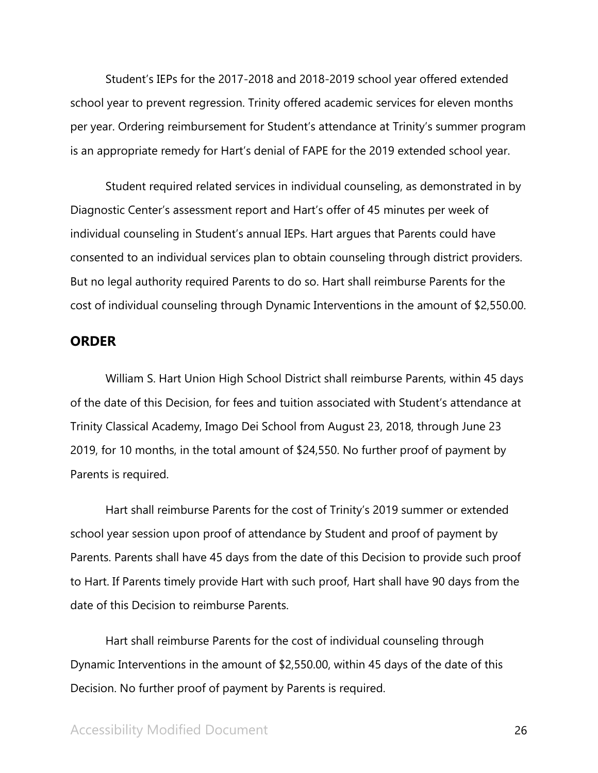Student's IEPs for the 2017-2018 and 2018-2019 school year offered extended school year to prevent regression. Trinity offered academic services for eleven months per year. Ordering reimbursement for Student's attendance at Trinity's summer program is an appropriate remedy for Hart's denial of FAPE for the 2019 extended school year.

Student required related services in individual counseling, as demonstrated in by Diagnostic Center's assessment report and Hart's offer of 45 minutes per week of individual counseling in Student's annual IEPs. Hart argues that Parents could have consented to an individual services plan to obtain counseling through district providers. But no legal authority required Parents to do so. Hart shall reimburse Parents for the cost of individual counseling through Dynamic Interventions in the amount of \$2,550.00.

## **ORDER**

William S. Hart Union High School District shall reimburse Parents, within 45 days of the date of this Decision, for fees and tuition associated with Student's attendance at Trinity Classical Academy, Imago Dei School from August 23, 2018, through June 23 2019, for 10 months, in the total amount of \$24,550. No further proof of payment by Parents is required.

Hart shall reimburse Parents for the cost of Trinity's 2019 summer or extended school year session upon proof of attendance by Student and proof of payment by Parents. Parents shall have 45 days from the date of this Decision to provide such proof to Hart. If Parents timely provide Hart with such proof, Hart shall have 90 days from the date of this Decision to reimburse Parents.

Hart shall reimburse Parents for the cost of individual counseling through Dynamic Interventions in the amount of \$2,550.00, within 45 days of the date of this Decision. No further proof of payment by Parents is required.